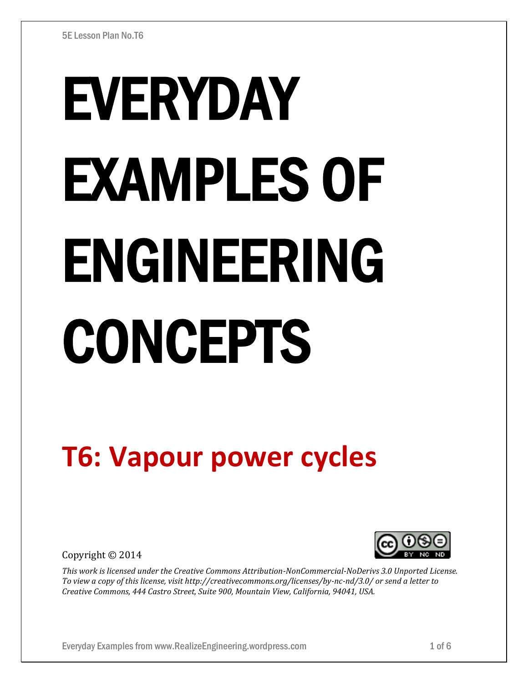# EVERYDAY EXAMPLES OF ENGINEERING CONCEPTS

## **T6: Vapour power cycles**

Copyright © 2014



*This work is licensed under the Creative Commons Attribution-NonCommercial-NoDerivs 3.0 Unported License. To view a copy of this license, visit http://creativecommons.org/licenses/by-nc-nd/3.0/ or send a letter to Creative Commons, 444 Castro Street, Suite 900, Mountain View, California, 94041, USA.*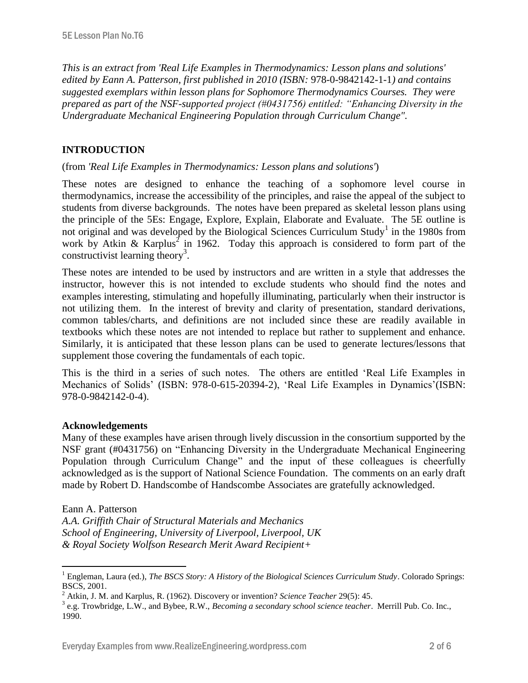*This is an extract from 'Real Life Examples in Thermodynamics: Lesson plans and solutions' edited by Eann A. Patterson, first published in 2010 (ISBN:* 978-0-9842142-1-1*) and contains suggested exemplars within lesson plans for Sophomore Thermodynamics Courses. They were prepared as part of the NSF-supported project (#0431756) entitled: "Enhancing Diversity in the Undergraduate Mechanical Engineering Population through Curriculum Change".* 

### **INTRODUCTION**

#### (from *'Real Life Examples in Thermodynamics: Lesson plans and solutions'*)

These notes are designed to enhance the teaching of a sophomore level course in thermodynamics, increase the accessibility of the principles, and raise the appeal of the subject to students from diverse backgrounds. The notes have been prepared as skeletal lesson plans using the principle of the 5Es: Engage, Explore, Explain, Elaborate and Evaluate. The 5E outline is not original and was developed by the Biological Sciences Curriculum Study<sup>1</sup> in the 1980s from work by Atkin & Karplus<sup>2</sup> in 1962. Today this approach is considered to form part of the constructivist learning theory<sup>3</sup>.

These notes are intended to be used by instructors and are written in a style that addresses the instructor, however this is not intended to exclude students who should find the notes and examples interesting, stimulating and hopefully illuminating, particularly when their instructor is not utilizing them. In the interest of brevity and clarity of presentation, standard derivations, common tables/charts, and definitions are not included since these are readily available in textbooks which these notes are not intended to replace but rather to supplement and enhance. Similarly, it is anticipated that these lesson plans can be used to generate lectures/lessons that supplement those covering the fundamentals of each topic.

This is the third in a series of such notes. The others are entitled 'Real Life Examples in Mechanics of Solids' (ISBN: 978-0-615-20394-2), 'Real Life Examples in Dynamics'(ISBN: 978-0-9842142-0-4).

#### **Acknowledgements**

Many of these examples have arisen through lively discussion in the consortium supported by the NSF grant (#0431756) on "Enhancing Diversity in the Undergraduate Mechanical Engineering Population through Curriculum Change" and the input of these colleagues is cheerfully acknowledged as is the support of National Science Foundation. The comments on an early draft made by Robert D. Handscombe of Handscombe Associates are gratefully acknowledged.

#### Eann A. Patterson

 $\overline{a}$ 

*A.A. Griffith Chair of Structural Materials and Mechanics School of Engineering, University of Liverpool, Liverpool, UK & Royal Society Wolfson Research Merit Award Recipient+*

<sup>1</sup> Engleman, Laura (ed.), *The BSCS Story: A History of the Biological Sciences Curriculum Study*. Colorado Springs: BSCS, 2001.

<sup>2</sup> Atkin, J. M. and Karplus, R. (1962). Discovery or invention? *Science Teacher* 29(5): 45.

<sup>3</sup> e.g. Trowbridge, L.W., and Bybee, R.W., *Becoming a secondary school science teacher*. Merrill Pub. Co. Inc., 1990.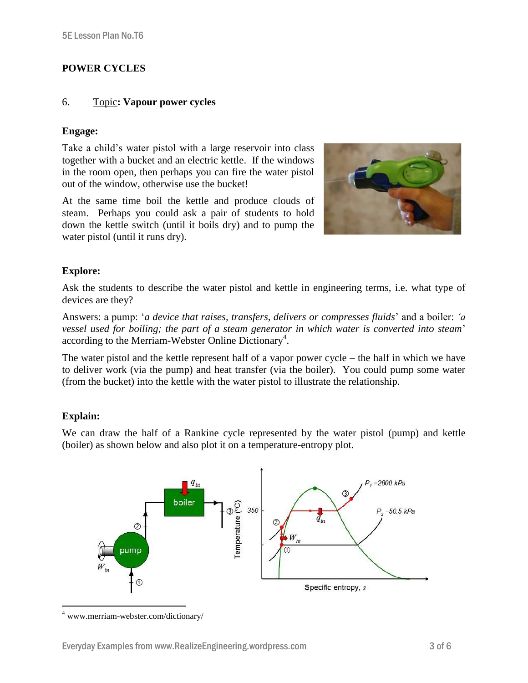#### **POWER CYCLES**

#### 6. Topic**: Vapour power cycles**

#### **Engage:**

Take a child's water pistol with a large reservoir into class together with a bucket and an electric kettle. If the windows in the room open, then perhaps you can fire the water pistol out of the window, otherwise use the bucket!

At the same time boil the kettle and produce clouds of steam. Perhaps you could ask a pair of students to hold down the kettle switch (until it boils dry) and to pump the water pistol (until it runs dry).



#### **Explore:**

Ask the students to describe the water pistol and kettle in engineering terms, i.e. what type of devices are they?

Answers: a pump: '*a device that raises, transfers, delivers or compresses fluids*' and a boiler: *'a vessel used for boiling; the part of a steam generator in which water is converted into steam*' according to the Merriam-Webster Online Dictionary<sup>4</sup>.

The water pistol and the kettle represent half of a vapor power cycle – the half in which we have to deliver work (via the pump) and heat transfer (via the boiler). You could pump some water (from the bucket) into the kettle with the water pistol to illustrate the relationship.

#### **Explain:**

We can draw the half of a Rankine cycle represented by the water pistol (pump) and kettle (boiler) as shown below and also plot it on a temperature-entropy plot.



 $\overline{a}$ <sup>4</sup> www.merriam-webster.com/dictionary/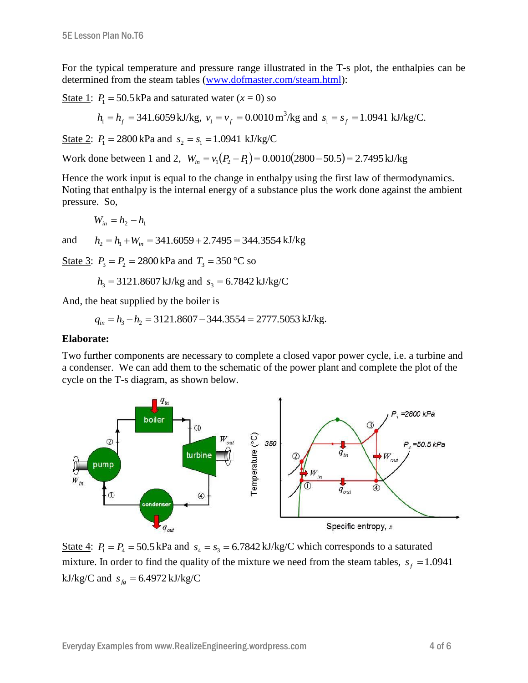For the typical temperature and pressure range illustrated in the T-s plot, the enthalpies can be determined from the steam tables [\(www.dofmaster.com/steam.html\)](http://www.dofmaster.com/steam.html):

State 1:  $P_1 = 50.5 \text{ kPa}$  and saturated water  $(x = 0)$  so

$$
h_1 = h_f = 341.6059 \text{ kJ/kg}, v_1 = v_f = 0.0010 \text{ m}^3/\text{kg}
$$
 and  $s_1 = s_f = 1.0941 \text{ kJ/kg/C}.$ 

State 2:  $P_1 = 2800 \text{ kPa}$  and  $s_2 = s_1 = 1.0941 \text{ kJ/kg/C}$ 

Work done between 1 and 2,  $W_{in} = v_1(P_2 - P_1) = 0.0010(2800 - 50.5) = 2.7495 \text{ kJ/kg}$ 

Hence the work input is equal to the change in enthalpy using the first law of thermodynamics. Noting that enthalpy is the internal energy of a substance plus the work done against the ambient pressure. So,

$$
W_{in} = h_2 - h_1
$$

and  $h_2 = h_1 + W_{in} = 341.6059 + 2.7495 = 344.3554 \text{ kJ/kg}$ 

State 3:  $P_3 = P_2 = 2800 \text{ kPa}$  and  $T_3 = 350 \text{ °C}$  so

$$
h_3 = 3121.8607 \text{ kJ/kg}
$$
 and  $s_3 = 6.7842 \text{ kJ/kg/C}$ 

And, the heat supplied by the boiler is

$$
q_{in} = h_3 - h_2 = 3121.8607 - 344.3554 = 2777.5053 \text{ kJ/kg}.
$$

#### **Elaborate:**

Two further components are necessary to complete a closed vapor power cycle, i.e. a turbine and a condenser. We can add them to the schematic of the power plant and complete the plot of the cycle on the T-s diagram, as shown below.



State 4:  $P_1 = P_4 = 50.5$  kPa and  $s_4 = s_3 = 6.7842$  kJ/kg/C which corresponds to a saturated mixture. In order to find the quality of the mixture we need from the steam tables,  $s_f = 1.0941$  $kJ/kg/C$  and  $s_{fg} = 6.4972 kJ/kg/C$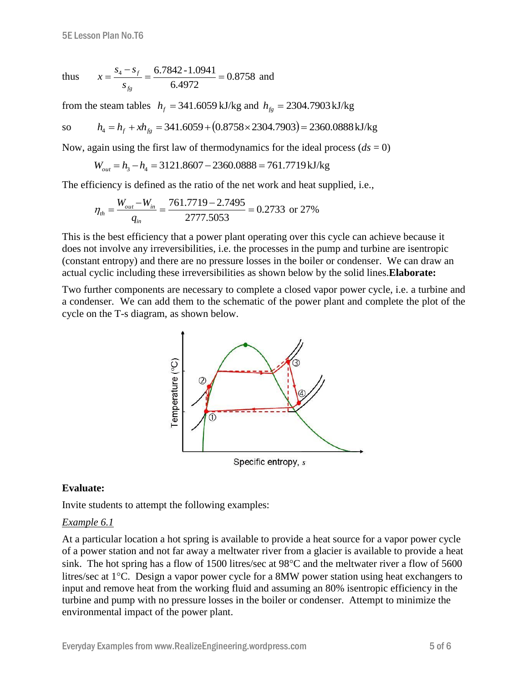thus 
$$
x = \frac{s_4 - s_f}{s_{fg}} = \frac{6.7842 - 1.0941}{6.4972} = 0.8758
$$
 and

from the steam tables  $h_f = 341.6059 \text{ kJ/kg}$  and  $h_{fg} = 2304.7903 \text{ kJ/kg}$ 

so 
$$
h_4 = h_f + xh_{fg} = 341.6059 + (0.8758 \times 2304.7903) = 2360.0888 \text{ kJ/kg}
$$

Now, again using the first law of thermodynamics for the ideal process  $(ds = 0)$ 

$$
W_{out} = h_3 - h_4 = 3121.8607 - 2360.0888 = 761.7719 \,\text{kJ/kg}
$$

The efficiency is defined as the ratio of the net work and heat supplied, i.e.,

$$
\eta_{th} = \frac{W_{out} - W_{in}}{q_{in}} = \frac{761.7719 - 2.7495}{2777.5053} = 0.2733 \text{ or } 27\%
$$

This is the best efficiency that a power plant operating over this cycle can achieve because it does not involve any irreversibilities, i.e. the processes in the pump and turbine are isentropic (constant entropy) and there are no pressure losses in the boiler or condenser. We can draw an actual cyclic including these irreversibilities as shown below by the solid lines.**Elaborate:**

Two further components are necessary to complete a closed vapor power cycle, i.e. a turbine and a condenser. We can add them to the schematic of the power plant and complete the plot of the cycle on the T-s diagram, as shown below.



Specific entropy, s

#### **Evaluate:**

Invite students to attempt the following examples:

#### *Example 6.1*

At a particular location a hot spring is available to provide a heat source for a vapor power cycle of a power station and not far away a meltwater river from a glacier is available to provide a heat sink. The hot spring has a flow of 1500 litres/sec at  $98^{\circ}$ C and the meltwater river a flow of 5600 litres/sec at  $1^{\circ}$ C. Design a vapor power cycle for a 8MW power station using heat exchangers to input and remove heat from the working fluid and assuming an 80% isentropic efficiency in the turbine and pump with no pressure losses in the boiler or condenser. Attempt to minimize the environmental impact of the power plant.